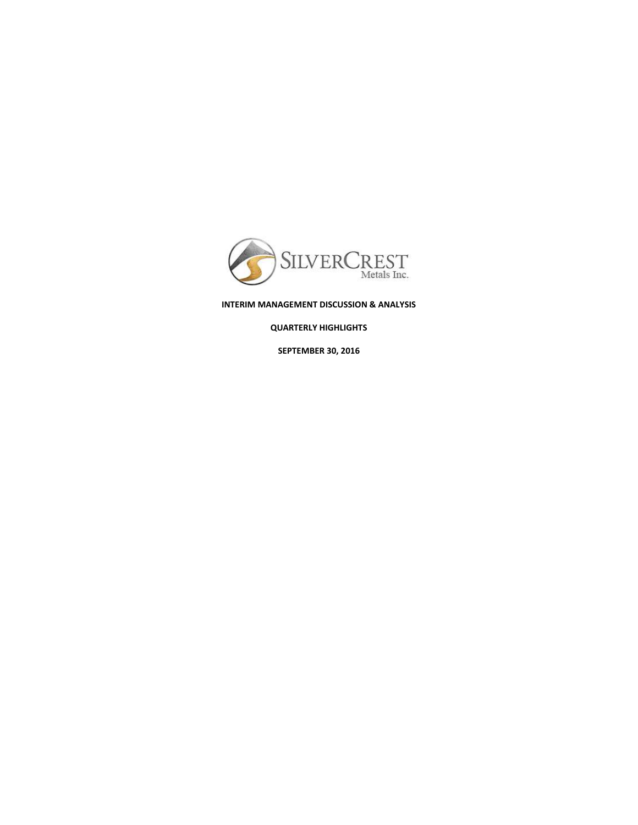

**INTERIM MANAGEMENT DISCUSSION & ANALYSIS** 

**QUARTERLY HIGHLIGHTS** 

**SEPTEMBER 30, 2016**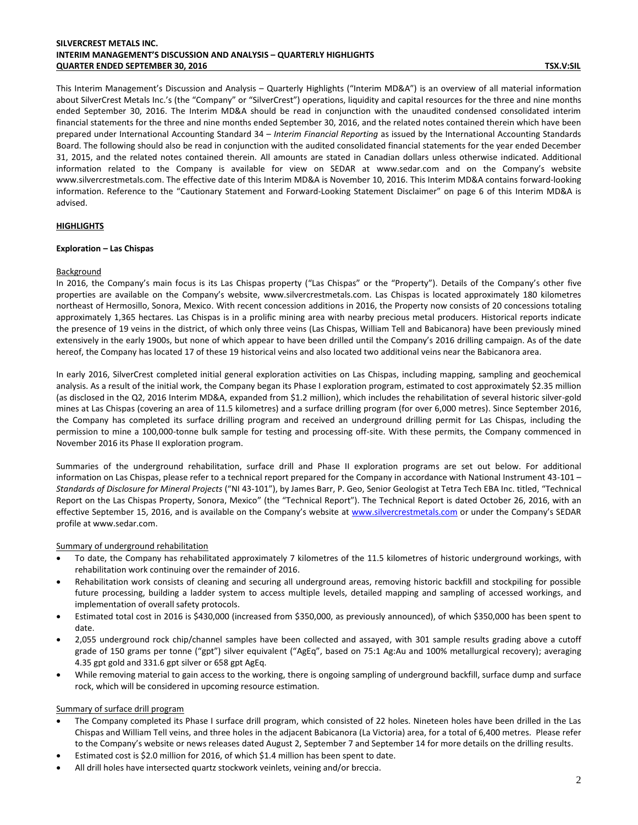# **SILVERCREST METALS INC. INTERIM MANAGEMENT'S DISCUSSION AND ANALYSIS – QUARTERLY HIGHLIGHTS QUARTER ENDED SEPTEMBER 30, 2016 TSX.V:SIL**

This Interim Management's Discussion and Analysis – Quarterly Highlights ("Interim MD&A") is an overview of all material information about SilverCrest Metals Inc.'s (the "Company" or "SilverCrest") operations, liquidity and capital resources for the three and nine months ended September 30, 2016. The Interim MD&A should be read in conjunction with the unaudited condensed consolidated interim financial statements for the three and nine months ended September 30, 2016, and the related notes contained therein which have been prepared under International Accounting Standard 34 – *Interim Financial Reporting* as issued by the International Accounting Standards Board. The following should also be read in conjunction with the audited consolidated financial statements for the year ended December 31, 2015, and the related notes contained therein. All amounts are stated in Canadian dollars unless otherwise indicated. Additional information related to the Company is available for view on SEDAR at [www.sedar.com](http://www.sedar.com/) and on the Company's website [www.silvercrestmetals.com.](http://www.silvercrestmetals.com/) The effective date of this Interim MD&A is November 10, 2016. This Interim MD&A contains forward-looking information. Reference to the "Cautionary Statement and Forward-Looking Statement Disclaimer" on page 6 of this Interim MD&A is advised.

### **HIGHLIGHTS**

### **Exploration – Las Chispas**

### Background

In 2016, the Company's main focus is its Las Chispas property ("Las Chispas" or the "Property"). Details of the Company's other five properties are available on the Company's website, [www.silvercrestmetals.com.](http://www.silvercrestmetals.com/) Las Chispas is located approximately 180 kilometres northeast of Hermosillo, Sonora, Mexico. With recent concession additions in 2016, the Property now consists of 20 concessions totaling approximately 1,365 hectares. Las Chispas is in a prolific mining area with nearby precious metal producers. Historical reports indicate the presence of 19 veins in the district, of which only three veins (Las Chispas, William Tell and Babicanora) have been previously mined extensively in the early 1900s, but none of which appear to have been drilled until the Company's 2016 drilling campaign. As of the date hereof, the Company has located 17 of these 19 historical veins and also located two additional veins near the Babicanora area.

In early 2016, SilverCrest completed initial general exploration activities on Las Chispas, including mapping, sampling and geochemical analysis. As a result of the initial work, the Company began its Phase I exploration program, estimated to cost approximately \$2.35 million (as disclosed in the Q2, 2016 Interim MD&A, expanded from \$1.2 million), which includes the rehabilitation of several historic silver-gold mines at Las Chispas (covering an area of 11.5 kilometres) and a surface drilling program (for over 6,000 metres). Since September 2016, the Company has completed its surface drilling program and received an underground drilling permit for Las Chispas, including the permission to mine a 100,000-tonne bulk sample for testing and processing off-site. With these permits, the Company commenced in November 2016 its Phase II exploration program.

Summaries of the underground rehabilitation, surface drill and Phase II exploration programs are set out below. For additional information on Las Chispas, please refer to a technical report prepared for the Company in accordance with National Instrument 43-101 – *Standards of Disclosure for Mineral Projects* ("NI 43-101"), by James Barr, P. Geo, Senior Geologist at Tetra Tech EBA Inc. titled, "Technical Report on the Las Chispas Property, Sonora, Mexico" (the "Technical Report"). The Technical Report is dated October 26, 2016, with an effective September 15, 2016, and is available on the Company's website a[t www.silvercrestmetals.com](http://www.silvercrestmetals.com/) or under the Company's SEDAR profile at www.sedar.com.

### Summary of underground rehabilitation

- To date, the Company has rehabilitated approximately 7 kilometres of the 11.5 kilometres of historic underground workings, with rehabilitation work continuing over the remainder of 2016.
- Rehabilitation work consists of cleaning and securing all underground areas, removing historic backfill and stockpiling for possible future processing, building a ladder system to access multiple levels, detailed mapping and sampling of accessed workings, and implementation of overall safety protocols.
- Estimated total cost in 2016 is \$430,000 (increased from \$350,000, as previously announced), of which \$350,000 has been spent to date.
- 2,055 underground rock chip/channel samples have been collected and assayed, with 301 sample results grading above a cutoff grade of 150 grams per tonne ("gpt") silver equivalent ("AgEq", based on 75:1 Ag:Au and 100% metallurgical recovery); averaging 4.35 gpt gold and 331.6 gpt silver or 658 gpt AgEq.
- While removing material to gain access to the working, there is ongoing sampling of underground backfill, surface dump and surface rock, which will be considered in upcoming resource estimation.

### Summary of surface drill program

- The Company completed its Phase I surface drill program, which consisted of 22 holes. Nineteen holes have been drilled in the Las Chispas and William Tell veins, and three holes in the adjacent Babicanora (La Victoria) area, for a total of 6,400 metres. Please refer to the Company's website or news releases dated August 2, September 7 and September 14 for more details on the drilling results.
- Estimated cost is \$2.0 million for 2016, of which \$1.4 million has been spent to date.
- All drill holes have intersected quartz stockwork veinlets, veining and/or breccia.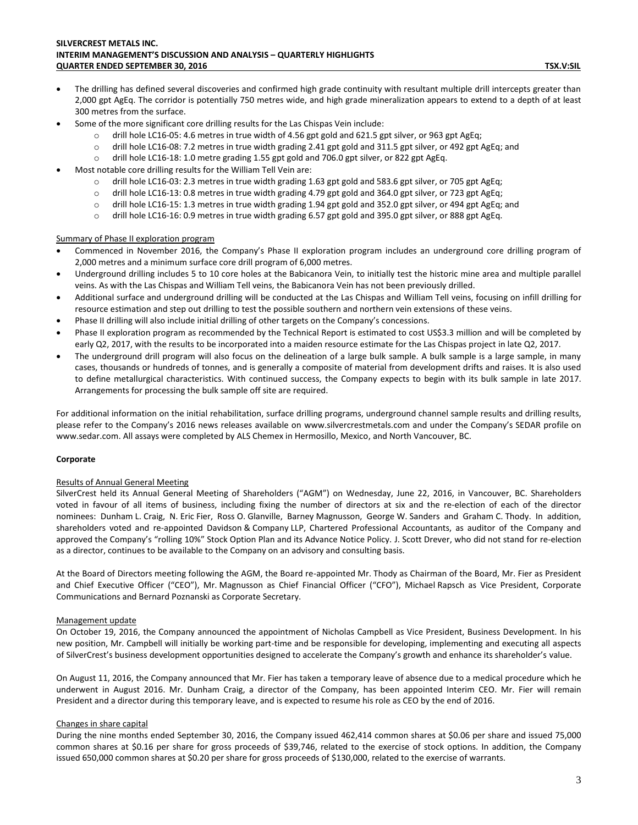# **SILVERCREST METALS INC. INTERIM MANAGEMENT'S DISCUSSION AND ANALYSIS – QUARTERLY HIGHLIGHTS QUARTER ENDED SEPTEMBER 30, 2016 TSX.V:SIL**

- The drilling has defined several discoveries and confirmed high grade continuity with resultant multiple drill intercepts greater than 2,000 gpt AgEq. The corridor is potentially 750 metres wide, and high grade mineralization appears to extend to a depth of at least 300 metres from the surface.
- Some of the more significant core drilling results for the Las Chispas Vein include:
	- o drill hole LC16-05: 4.6 metres in true width of 4.56 gpt gold and 621.5 gpt silver, or 963 gpt AgEq;
	- o drill hole LC16-08: 7.2 metres in true width grading 2.41 gpt gold and 311.5 gpt silver, or 492 gpt AgEq; and
	- o drill hole LC16-18: 1.0 metre grading 1.55 gpt gold and 706.0 gpt silver, or 822 gpt AgEq.
- Most notable core drilling results for the William Tell Vein are:
	- o drill hole LC16-03: 2.3 metres in true width grading 1.63 gpt gold and 583.6 gpt silver, or 705 gpt AgEq;
	- $\circ$  drill hole LC16-13: 0.8 metres in true width grading 4.79 gpt gold and 364.0 gpt silver, or 723 gpt AgEq;
	- o drill hole LC16-15: 1.3 metres in true width grading 1.94 gpt gold and 352.0 gpt silver, or 494 gpt AgEq; and
	- o drill hole LC16-16: 0.9 metres in true width grading 6.57 gpt gold and 395.0 gpt silver, or 888 gpt AgEq.

# Summary of Phase II exploration program

- Commenced in November 2016, the Company's Phase II exploration program includes an underground core drilling program of 2,000 metres and a minimum surface core drill program of 6,000 metres.
- Underground drilling includes 5 to 10 core holes at the Babicanora Vein, to initially test the historic mine area and multiple parallel veins. As with the Las Chispas and William Tell veins, the Babicanora Vein has not been previously drilled.
- Additional surface and underground drilling will be conducted at the Las Chispas and William Tell veins, focusing on infill drilling for resource estimation and step out drilling to test the possible southern and northern vein extensions of these veins.
- Phase II drilling will also include initial drilling of other targets on the Company's concessions.
- Phase II exploration program as recommended by the Technical Report is estimated to cost US\$3.3 million and will be completed by early Q2, 2017, with the results to be incorporated into a maiden resource estimate for the Las Chispas project in late Q2, 2017.
- The underground drill program will also focus on the delineation of a large bulk sample. A bulk sample is a large sample, in many cases, thousands or hundreds of tonnes, and is generally a composite of material from development drifts and raises. It is also used to define metallurgical characteristics. With continued success, the Company expects to begin with its bulk sample in late 2017. Arrangements for processing the bulk sample off site are required.

For additional information on the initial rehabilitation, surface drilling programs, underground channel sample results and drilling results, please refer to the Company's 2016 news releases available on [www.silvercrestmetals.com](http://www.silvercrestmetals.com/) and under the Company's SEDAR profile on [www.sedar.com.](http://www.sedar.com/) All assays were completed by ALS Chemex in Hermosillo, Mexico, and North Vancouver, BC.

### **Corporate**

# Results of Annual General Meeting

SilverCrest held its Annual General Meeting of Shareholders ("AGM") on Wednesday, June 22, 2016, in Vancouver, BC. Shareholders voted in favour of all items of business, including fixing the number of directors at six and the re-election of each of the director nominees: Dunham L. Craig, N. Eric Fier, Ross O. Glanville, Barney Magnusson, George W. Sanders and Graham C. Thody. In addition, shareholders voted and re-appointed Davidson & Company LLP, Chartered Professional Accountants, as auditor of the Company and approved the Company's "rolling 10%" Stock Option Plan and its Advance Notice Policy. J. Scott Drever, who did not stand for re-election as a director, continues to be available to the Company on an advisory and consulting basis.

At the Board of Directors meeting following the AGM, the Board re-appointed Mr. Thody as Chairman of the Board, Mr. Fier as President and Chief Executive Officer ("CEO"), Mr. Magnusson as Chief Financial Officer ("CFO"), Michael Rapsch as Vice President, Corporate Communications and Bernard Poznanski as Corporate Secretary.

# Management update

On October 19, 2016, the Company announced the appointment of Nicholas Campbell as Vice President, Business Development. In his new position, Mr. Campbell will initially be working part-time and be responsible for developing, implementing and executing all aspects of SilverCrest's business development opportunities designed to accelerate the Company's growth and enhance its shareholder's value.

On August 11, 2016, the Company announced that Mr. Fier has taken a temporary leave of absence due to a medical procedure which he underwent in August 2016. Mr. Dunham Craig, a director of the Company, has been appointed Interim CEO. Mr. Fier will remain President and a director during this temporary leave, and is expected to resume his role as CEO by the end of 2016.

# Changes in share capital

During the nine months ended September 30, 2016, the Company issued 462,414 common shares at \$0.06 per share and issued 75,000 common shares at \$0.16 per share for gross proceeds of \$39,746, related to the exercise of stock options. In addition, the Company issued 650,000 common shares at \$0.20 per share for gross proceeds of \$130,000, related to the exercise of warrants.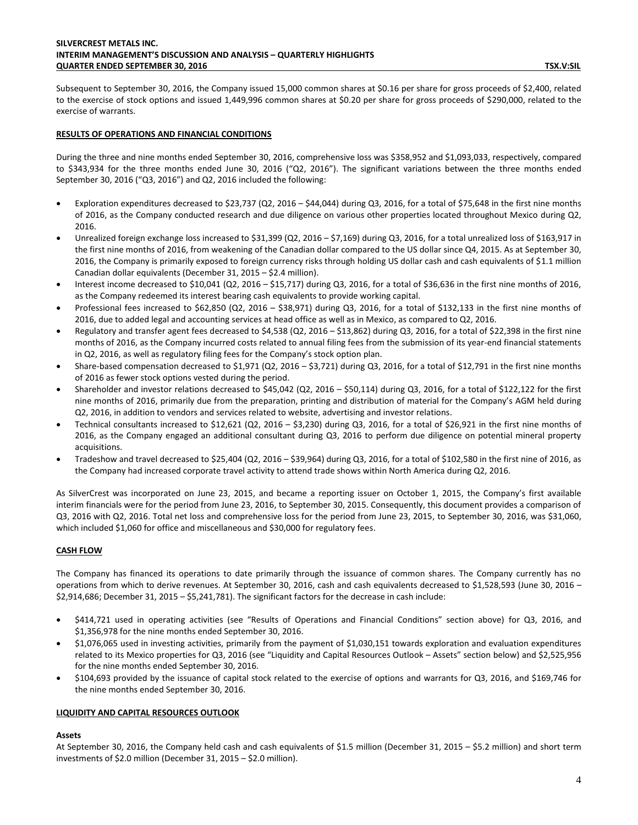Subsequent to September 30, 2016, the Company issued 15,000 common shares at \$0.16 per share for gross proceeds of \$2,400, related to the exercise of stock options and issued 1,449,996 common shares at \$0.20 per share for gross proceeds of \$290,000, related to the exercise of warrants.

## **RESULTS OF OPERATIONS AND FINANCIAL CONDITIONS**

During the three and nine months ended September 30, 2016, comprehensive loss was \$358,952 and \$1,093,033, respectively, compared to \$343,934 for the three months ended June 30, 2016 ("Q2, 2016"). The significant variations between the three months ended September 30, 2016 ("Q3, 2016") and Q2, 2016 included the following:

- Exploration expenditures decreased to \$23,737 (Q2, 2016 \$44,044) during Q3, 2016, for a total of \$75,648 in the first nine months of 2016, as the Company conducted research and due diligence on various other properties located throughout Mexico during Q2, 2016.
- Unrealized foreign exchange loss increased to \$31,399 (Q2, 2016 \$7,169) during Q3, 2016, for a total unrealized loss of \$163,917 in the first nine months of 2016, from weakening of the Canadian dollar compared to the US dollar since Q4, 2015. As at September 30, 2016, the Company is primarily exposed to foreign currency risks through holding US dollar cash and cash equivalents of \$1.1 million Canadian dollar equivalents (December 31, 2015 – \$2.4 million).
- Interest income decreased to \$10,041 (Q2, 2016 \$15,717) during Q3, 2016, for a total of \$36,636 in the first nine months of 2016, as the Company redeemed its interest bearing cash equivalents to provide working capital.
- Professional fees increased to \$62,850 (Q2, 2016 \$38,971) during Q3, 2016, for a total of \$132,133 in the first nine months of 2016, due to added legal and accounting services at head office as well as in Mexico, as compared to Q2, 2016.
- Regulatory and transfer agent fees decreased to \$4,538 (Q2, 2016 \$13,862) during Q3, 2016, for a total of \$22,398 in the first nine months of 2016, as the Company incurred costs related to annual filing fees from the submission of its year-end financial statements in Q2, 2016, as well as regulatory filing fees for the Company's stock option plan.
- Share-based compensation decreased to \$1,971 (Q2, 2016 \$3,721) during Q3, 2016, for a total of \$12,791 in the first nine months of 2016 as fewer stock options vested during the period.
- Shareholder and investor relations decreased to \$45,042 (Q2, 2016 \$50,114) during Q3, 2016, for a total of \$122,122 for the first nine months of 2016, primarily due from the preparation, printing and distribution of material for the Company's AGM held during Q2, 2016, in addition to vendors and services related to website, advertising and investor relations.
- Technical consultants increased to \$12,621 (Q2, 2016 \$3,230) during Q3, 2016, for a total of \$26,921 in the first nine months of 2016, as the Company engaged an additional consultant during Q3, 2016 to perform due diligence on potential mineral property acquisitions.
- Tradeshow and travel decreased to \$25,404 (Q2, 2016 \$39,964) during Q3, 2016, for a total of \$102,580 in the first nine of 2016, as the Company had increased corporate travel activity to attend trade shows within North America during Q2, 2016.

As SilverCrest was incorporated on June 23, 2015, and became a reporting issuer on October 1, 2015, the Company's first available interim financials were for the period from June 23, 2016, to September 30, 2015. Consequently, this document provides a comparison of Q3, 2016 with Q2, 2016. Total net loss and comprehensive loss for the period from June 23, 2015, to September 30, 2016, was \$31,060, which included \$1,060 for office and miscellaneous and \$30,000 for regulatory fees.

# **CASH FLOW**

The Company has financed its operations to date primarily through the issuance of common shares. The Company currently has no operations from which to derive revenues. At September 30, 2016, cash and cash equivalents decreased to \$1,528,593 (June 30, 2016 – \$2,914,686; December 31, 2015 – \$5,241,781). The significant factors for the decrease in cash include:

- \$414,721 used in operating activities (see "Results of Operations and Financial Conditions" section above) for Q3, 2016, and \$1,356,978 for the nine months ended September 30, 2016.
- \$1,076,065 used in investing activities, primarily from the payment of \$1,030,151 towards exploration and evaluation expenditures related to its Mexico properties for Q3, 2016 (see "Liquidity and Capital Resources Outlook – Assets" section below) and \$2,525,956 for the nine months ended September 30, 2016.
- \$104,693 provided by the issuance of capital stock related to the exercise of options and warrants for Q3, 2016, and \$169,746 for the nine months ended September 30, 2016.

### **LIQUIDITY AND CAPITAL RESOURCES OUTLOOK**

### **Assets**

At September 30, 2016, the Company held cash and cash equivalents of \$1.5 million (December 31, 2015 – \$5.2 million) and short term investments of \$2.0 million (December 31, 2015 – \$2.0 million).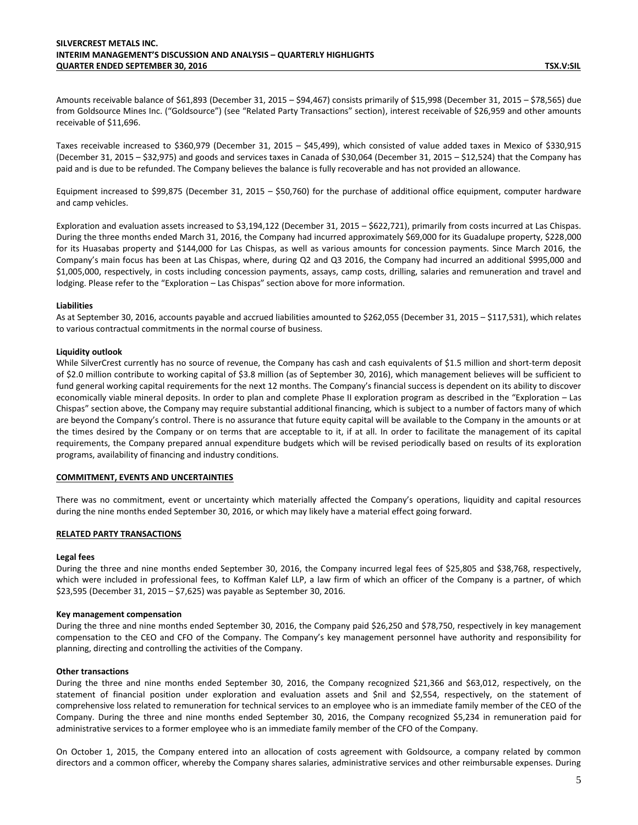Amounts receivable balance of \$61,893 (December 31, 2015 – \$94,467) consists primarily of \$15,998 (December 31, 2015 – \$78,565) due from Goldsource Mines Inc. ("Goldsource") (see "Related Party Transactions" section), interest receivable of \$26,959 and other amounts receivable of \$11,696.

Taxes receivable increased to \$360,979 (December 31, 2015 – \$45,499), which consisted of value added taxes in Mexico of \$330,915 (December 31, 2015 – \$32,975) and goods and services taxes in Canada of \$30,064 (December 31, 2015 – \$12,524) that the Company has paid and is due to be refunded. The Company believes the balance is fully recoverable and has not provided an allowance.

Equipment increased to \$99,875 (December 31, 2015 – \$50,760) for the purchase of additional office equipment, computer hardware and camp vehicles.

Exploration and evaluation assets increased to \$3,194,122 (December 31, 2015 – \$622,721), primarily from costs incurred at Las Chispas. During the three months ended March 31, 2016, the Company had incurred approximately \$69,000 for its Guadalupe property, \$228,000 for its Huasabas property and \$144,000 for Las Chispas, as well as various amounts for concession payments. Since March 2016, the Company's main focus has been at Las Chispas, where, during Q2 and Q3 2016, the Company had incurred an additional \$995,000 and \$1,005,000, respectively, in costs including concession payments, assays, camp costs, drilling, salaries and remuneration and travel and lodging. Please refer to the "Exploration – Las Chispas" section above for more information.

#### **Liabilities**

As at September 30, 2016, accounts payable and accrued liabilities amounted to \$262,055 (December 31, 2015 – \$117,531), which relates to various contractual commitments in the normal course of business.

### **Liquidity outlook**

While SilverCrest currently has no source of revenue, the Company has cash and cash equivalents of \$1.5 million and short-term deposit of \$2.0 million contribute to working capital of \$3.8 million (as of September 30, 2016), which management believes will be sufficient to fund general working capital requirements for the next 12 months. The Company's financial success is dependent on its ability to discover economically viable mineral deposits. In order to plan and complete Phase II exploration program as described in the "Exploration – Las Chispas" section above, the Company may require substantial additional financing, which is subject to a number of factors many of which are beyond the Company's control. There is no assurance that future equity capital will be available to the Company in the amounts or at the times desired by the Company or on terms that are acceptable to it, if at all. In order to facilitate the management of its capital requirements, the Company prepared annual expenditure budgets which will be revised periodically based on results of its exploration programs, availability of financing and industry conditions.

#### **COMMITMENT, EVENTS AND UNCERTAINTIES**

There was no commitment, event or uncertainty which materially affected the Company's operations, liquidity and capital resources during the nine months ended September 30, 2016, or which may likely have a material effect going forward.

#### **RELATED PARTY TRANSACTIONS**

#### **Legal fees**

During the three and nine months ended September 30, 2016, the Company incurred legal fees of \$25,805 and \$38,768, respectively, which were included in professional fees, to Koffman Kalef LLP, a law firm of which an officer of the Company is a partner, of which \$23,595 (December 31, 2015 – \$7,625) was payable as September 30, 2016.

#### **Key management compensation**

During the three and nine months ended September 30, 2016, the Company paid \$26,250 and \$78,750, respectively in key management compensation to the CEO and CFO of the Company. The Company's key management personnel have authority and responsibility for planning, directing and controlling the activities of the Company.

#### **Other transactions**

During the three and nine months ended September 30, 2016, the Company recognized \$21,366 and \$63,012, respectively, on the statement of financial position under exploration and evaluation assets and \$nil and \$2,554, respectively, on the statement of comprehensive loss related to remuneration for technical services to an employee who is an immediate family member of the CEO of the Company. During the three and nine months ended September 30, 2016, the Company recognized \$5,234 in remuneration paid for administrative services to a former employee who is an immediate family member of the CFO of the Company.

On October 1, 2015, the Company entered into an allocation of costs agreement with Goldsource, a company related by common directors and a common officer, whereby the Company shares salaries, administrative services and other reimbursable expenses. During